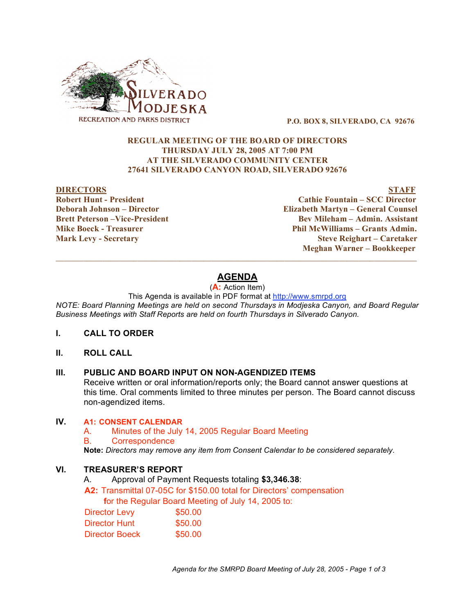

**P.O. BOX 8, SILVERADO, CA 92676**

## **REGULAR MEETING OF THE BOARD OF DIRECTORS THURSDAY JULY 28, 2005 AT 7:00 PM AT THE SILVERADO COMMUNITY CENTER 27641 SILVERADO CANYON ROAD, SILVERADO 92676**

#### **DIRECTORS STAFF**

**Robert Hunt - President Cathie Fountain – SCC Director Deborah Johnson – Director Elizabeth Martyn – General Counsel Brett Peterson –Vice-President Bev Mileham – Admin. Assistant Mike Boeck - Treasurer Phil McWilliams – Grants Admin. Mark Levy - Secretary Steve Reighart – Caretaker Meghan Warner – Bookkeeper**

# **AGENDA**

 $\overline{\phantom{a}}$  ,  $\overline{\phantom{a}}$  ,  $\overline{\phantom{a}}$  ,  $\overline{\phantom{a}}$  ,  $\overline{\phantom{a}}$  ,  $\overline{\phantom{a}}$  ,  $\overline{\phantom{a}}$  ,  $\overline{\phantom{a}}$  ,  $\overline{\phantom{a}}$  ,  $\overline{\phantom{a}}$  ,  $\overline{\phantom{a}}$  ,  $\overline{\phantom{a}}$  ,  $\overline{\phantom{a}}$  ,  $\overline{\phantom{a}}$  ,  $\overline{\phantom{a}}$  ,  $\overline{\phantom{a}}$ 

#### (**A:** Action Item)

This Agenda is available in PDF format at http://www.smrpd.org

*NOTE: Board Planning Meetings are held on second Thursdays in Modjeska Canyon, and Board Regular Business Meetings with Staff Reports are held on fourth Thursdays in Silverado Canyon.*

## **I. CALL TO ORDER**

#### **II. ROLL CALL**

#### **III. PUBLIC AND BOARD INPUT ON NON-AGENDIZED ITEMS**

Receive written or oral information/reports only; the Board cannot answer questions at this time. Oral comments limited to three minutes per person. The Board cannot discuss non-agendized items.

#### **IV. A1: CONSENT CALENDAR**

A. Minutes of the July 14, 2005 Regular Board Meeting

B. Correspondence

**Note:** *Directors may remove any item from Consent Calendar to be considered separately.*

### **VI. TREASURER'S REPORT**

A. Approval of Payment Requests totaling **\$3,346.38**:

**A2:** Transmittal 07-05C for \$150.00 total for Directors' compensation **f**or the Regular Board Meeting of July 14, 2005 to:

| <b>Director Levy</b> | \$50.00 |
|----------------------|---------|
| Director Hunt        | \$50.00 |
| Director Boeck       | \$50.00 |